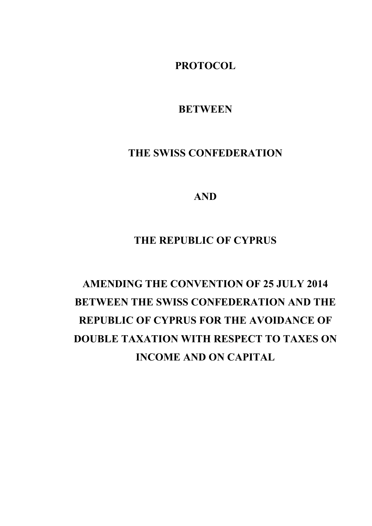**PROTOCOL** 

**BETWEEN** 

# **THE SWISS CONFEDERATION**

**AND** 

# **THE REPUBLIC OF CYPRUS**

# **AMENDING THE CONVENTION OF 25 JULY 2014 BETWEEN THE SWISS CONFEDERATION AND THE REPUBLIC OF CYPRUS FOR THE AVOIDANCE OF DOUBLE TAXATION WITH RESPECT TO TAXES ON INCOME AND ON CAPITAL**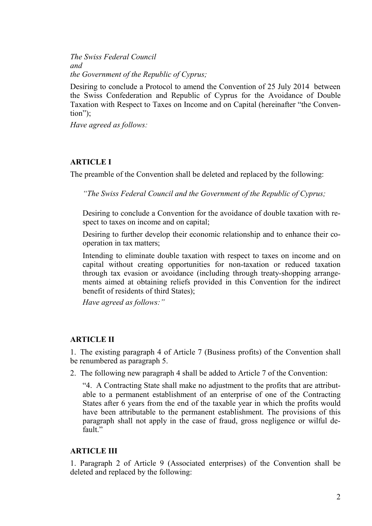*The Swiss Federal Council and the Government of the Republic of Cyprus;* 

Desiring to conclude a Protocol to amend the Convention of 25 July 2014 between the Swiss Confederation and Republic of Cyprus for the Avoidance of Double Taxation with Respect to Taxes on Income and on Capital (hereinafter "the Convention");

*Have agreed as follows:* 

## **ARTICLE I**

The preamble of the Convention shall be deleted and replaced by the following:

*"The Swiss Federal Council and the Government of the Republic of Cyprus;* 

Desiring to conclude a Convention for the avoidance of double taxation with respect to taxes on income and on capital;

Desiring to further develop their economic relationship and to enhance their cooperation in tax matters;

Intending to eliminate double taxation with respect to taxes on income and on capital without creating opportunities for non-taxation or reduced taxation through tax evasion or avoidance (including through treaty-shopping arrangements aimed at obtaining reliefs provided in this Convention for the indirect benefit of residents of third States);

*Have agreed as follows:"* 

## **ARTICLE II**

1. The existing paragraph 4 of Article 7 (Business profits) of the Convention shall be renumbered as paragraph 5.

2. The following new paragraph 4 shall be added to Article 7 of the Convention:

"4. A Contracting State shall make no adjustment to the profits that are attributable to a permanent establishment of an enterprise of one of the Contracting States after 6 years from the end of the taxable year in which the profits would have been attributable to the permanent establishment. The provisions of this paragraph shall not apply in the case of fraud, gross negligence or wilful default."

## **ARTICLE III**

1. Paragraph 2 of Article 9 (Associated enterprises) of the Convention shall be deleted and replaced by the following: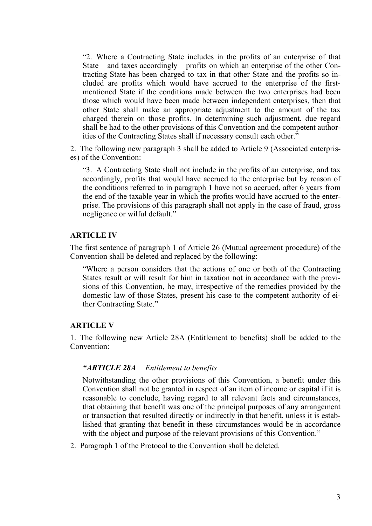"2. Where a Contracting State includes in the profits of an enterprise of that State – and taxes accordingly – profits on which an enterprise of the other Contracting State has been charged to tax in that other State and the profits so included are profits which would have accrued to the enterprise of the firstmentioned State if the conditions made between the two enterprises had been those which would have been made between independent enterprises, then that other State shall make an appropriate adjustment to the amount of the tax charged therein on those profits. In determining such adjustment, due regard shall be had to the other provisions of this Convention and the competent authorities of the Contracting States shall if necessary consult each other."

2. The following new paragraph 3 shall be added to Article 9 (Associated enterprises) of the Convention:

"3. A Contracting State shall not include in the profits of an enterprise, and tax accordingly, profits that would have accrued to the enterprise but by reason of the conditions referred to in paragraph 1 have not so accrued, after 6 years from the end of the taxable year in which the profits would have accrued to the enterprise. The provisions of this paragraph shall not apply in the case of fraud, gross negligence or wilful default."

#### **ARTICLE IV**

The first sentence of paragraph 1 of Article 26 (Mutual agreement procedure) of the Convention shall be deleted and replaced by the following:

"Where a person considers that the actions of one or both of the Contracting States result or will result for him in taxation not in accordance with the provisions of this Convention, he may, irrespective of the remedies provided by the domestic law of those States, present his case to the competent authority of either Contracting State."

#### **ARTICLE V**

1. The following new Article 28A (Entitlement to benefits) shall be added to the Convention:

#### *"ARTICLE 28A Entitlement to benefits*

Notwithstanding the other provisions of this Convention, a benefit under this Convention shall not be granted in respect of an item of income or capital if it is reasonable to conclude, having regard to all relevant facts and circumstances, that obtaining that benefit was one of the principal purposes of any arrangement or transaction that resulted directly or indirectly in that benefit, unless it is established that granting that benefit in these circumstances would be in accordance with the object and purpose of the relevant provisions of this Convention."

2. Paragraph 1 of the Protocol to the Convention shall be deleted.